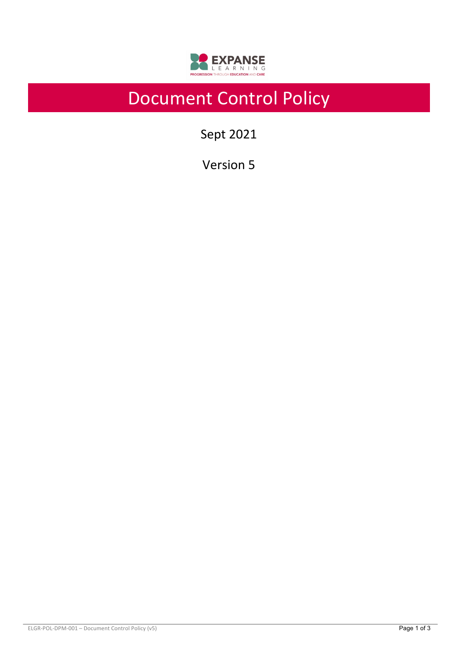

# Document Control Policy

Sept 2021

Version 5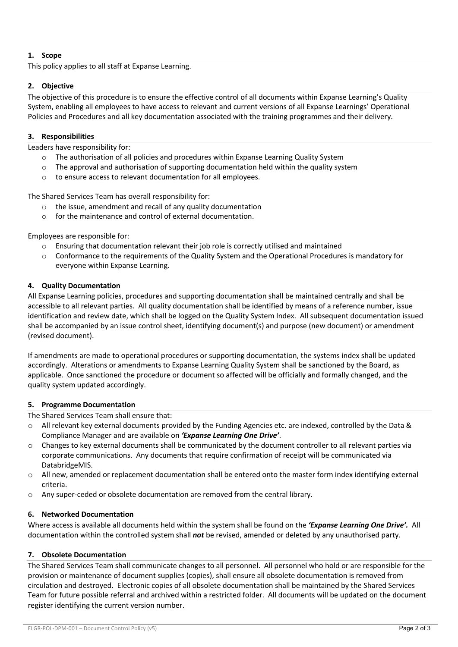## **1. Scope**

This policy applies to all staff at Expanse Learning.

## **2. Objective**

The objective of this procedure is to ensure the effective control of all documents within Expanse Learning's Quality System, enabling all employees to have access to relevant and current versions of all Expanse Learnings' Operational Policies and Procedures and all key documentation associated with the training programmes and their delivery.

## **3. Responsibilities**

Leaders have responsibility for:

- o The authorisation of all policies and procedures within Expanse Learning Quality System
- $\circ$  The approval and authorisation of supporting documentation held within the quality system
- o to ensure access to relevant documentation for all employees.

The Shared Services Team has overall responsibility for:

- o the issue, amendment and recall of any quality documentation
- o for the maintenance and control of external documentation.

Employees are responsible for:

- $\circ$  Ensuring that documentation relevant their job role is correctly utilised and maintained
- Conformance to the requirements of the Quality System and the Operational Procedures is mandatory for everyone within Expanse Learning.

## **4. Quality Documentation**

All Expanse Learning policies, procedures and supporting documentation shall be maintained centrally and shall be accessible to all relevant parties. All quality documentation shall be identified by means of a reference number, issue identification and review date, which shall be logged on the Quality System Index. All subsequent documentation issued shall be accompanied by an issue control sheet, identifying document(s) and purpose (new document) or amendment (revised document).

If amendments are made to operational procedures or supporting documentation, the systems index shall be updated accordingly. Alterations or amendments to Expanse Learning Quality System shall be sanctioned by the Board, as applicable. Once sanctioned the procedure or document so affected will be officially and formally changed, and the quality system updated accordingly.

#### **5. Programme Documentation**

The Shared Services Team shall ensure that:

- $\circ$  All relevant key external documents provided by the Funding Agencies etc. are indexed, controlled by the Data & Compliance Manager and are available on *'Expanse Learning One Drive'*.
- $\circ$  Changes to key external documents shall be communicated by the document controller to all relevant parties via corporate communications. Any documents that require confirmation of receipt will be communicated via DatabridgeMIS.
- o All new, amended or replacement documentation shall be entered onto the master form index identifying external criteria.
- o Any super-ceded or obsolete documentation are removed from the central library.

#### **6. Networked Documentation**

Where access is available all documents held within the system shall be found on the *'Expanse Learning One Drive'.* All documentation within the controlled system shall *not* be revised, amended or deleted by any unauthorised party.

#### **7. Obsolete Documentation**

The Shared Services Team shall communicate changes to all personnel. All personnel who hold or are responsible for the provision or maintenance of document supplies (copies), shall ensure all obsolete documentation is removed from circulation and destroyed. Electronic copies of all obsolete documentation shall be maintained by the Shared Services Team for future possible referral and archived within a restricted folder. All documents will be updated on the document register identifying the current version number.